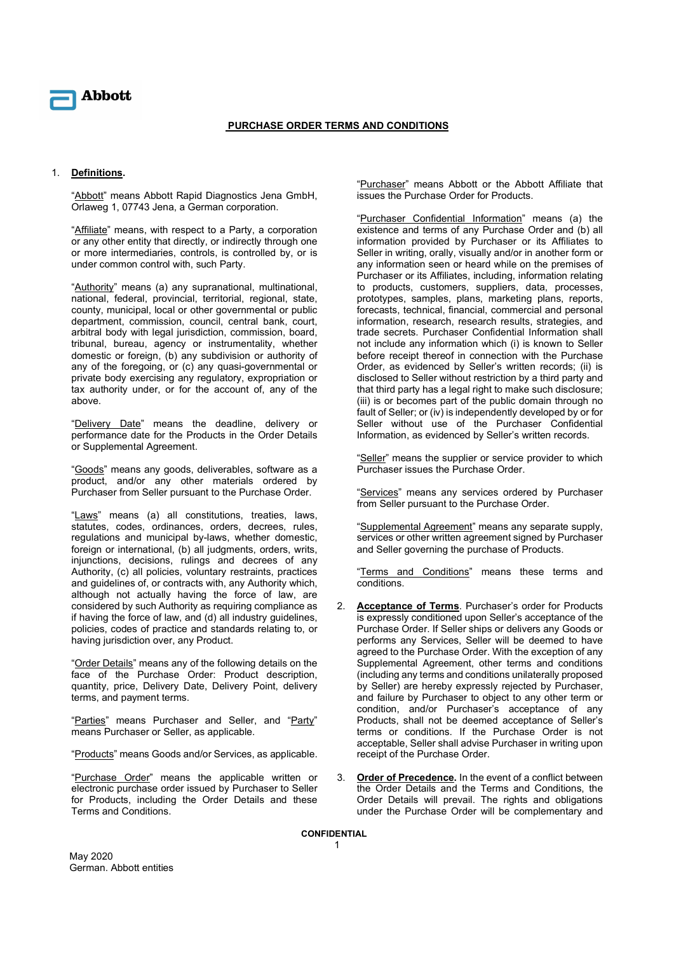

## PURCHASE ORDER TERMS AND CONDITIONS

## 1. Definitions.

"Abbott" means Abbott Rapid Diagnostics Jena GmbH, Orlaweg 1, 07743 Jena, a German corporation.

"Affiliate" means, with respect to a Party, a corporation or any other entity that directly, or indirectly through one or more intermediaries, controls, is controlled by, or is under common control with, such Party.

"Authority" means (a) any supranational, multinational, national, federal, provincial, territorial, regional, state, county, municipal, local or other governmental or public department, commission, council, central bank, court, arbitral body with legal jurisdiction, commission, board, tribunal, bureau, agency or instrumentality, whether domestic or foreign, (b) any subdivision or authority of any of the foregoing, or (c) any quasi-governmental or private body exercising any regulatory, expropriation or tax authority under, or for the account of, any of the above.

"Delivery Date" means the deadline, delivery or performance date for the Products in the Order Details or Supplemental Agreement.

"Goods" means any goods, deliverables, software as a product, and/or any other materials ordered by Purchaser from Seller pursuant to the Purchase Order.

"Laws" means (a) all constitutions, treaties, laws, statutes, codes, ordinances, orders, decrees, rules, regulations and municipal by-laws, whether domestic, foreign or international, (b) all judgments, orders, writs, injunctions, decisions, rulings and decrees of any Authority, (c) all policies, voluntary restraints, practices and guidelines of, or contracts with, any Authority which, although not actually having the force of law, are considered by such Authority as requiring compliance as if having the force of law, and (d) all industry guidelines, policies, codes of practice and standards relating to, or having jurisdiction over, any Product.

"Order Details" means any of the following details on the face of the Purchase Order: Product description, quantity, price, Delivery Date, Delivery Point, delivery terms, and payment terms.

"Parties" means Purchaser and Seller, and "Party" means Purchaser or Seller, as applicable.

"Products" means Goods and/or Services, as applicable.

"Purchase Order" means the applicable written or electronic purchase order issued by Purchaser to Seller for Products, including the Order Details and these Terms and Conditions.

"Purchaser" means Abbott or the Abbott Affiliate that issues the Purchase Order for Products.

"Purchaser Confidential Information" means (a) the existence and terms of any Purchase Order and (b) all information provided by Purchaser or its Affiliates to Seller in writing, orally, visually and/or in another form or any information seen or heard while on the premises of Purchaser or its Affiliates, including, information relating to products, customers, suppliers, data, processes, prototypes, samples, plans, marketing plans, reports, forecasts, technical, financial, commercial and personal information, research, research results, strategies, and trade secrets. Purchaser Confidential Information shall not include any information which (i) is known to Seller before receipt thereof in connection with the Purchase Order, as evidenced by Seller's written records; (ii) is disclosed to Seller without restriction by a third party and that third party has a legal right to make such disclosure; (iii) is or becomes part of the public domain through no fault of Seller; or (iv) is independently developed by or for Seller without use of the Purchaser Confidential Information, as evidenced by Seller's written records.

"Seller" means the supplier or service provider to which Purchaser issues the Purchase Order.

"Services" means any services ordered by Purchaser from Seller pursuant to the Purchase Order.

"Supplemental Agreement" means any separate supply, services or other written agreement signed by Purchaser and Seller governing the purchase of Products.

"Terms and Conditions" means these terms and conditions.

- Acceptance of Terms. Purchaser's order for Products is expressly conditioned upon Seller's acceptance of the Purchase Order. If Seller ships or delivers any Goods or performs any Services, Seller will be deemed to have agreed to the Purchase Order. With the exception of any Supplemental Agreement, other terms and conditions (including any terms and conditions unilaterally proposed by Seller) are hereby expressly rejected by Purchaser, and failure by Purchaser to object to any other term or condition, and/or Purchaser's acceptance of any Products, shall not be deemed acceptance of Seller's terms or conditions. If the Purchase Order is not acceptable, Seller shall advise Purchaser in writing upon receipt of the Purchase Order.
- 3. Order of Precedence. In the event of a conflict between the Order Details and the Terms and Conditions, the Order Details will prevail. The rights and obligations under the Purchase Order will be complementary and

CONFIDENTIAL 1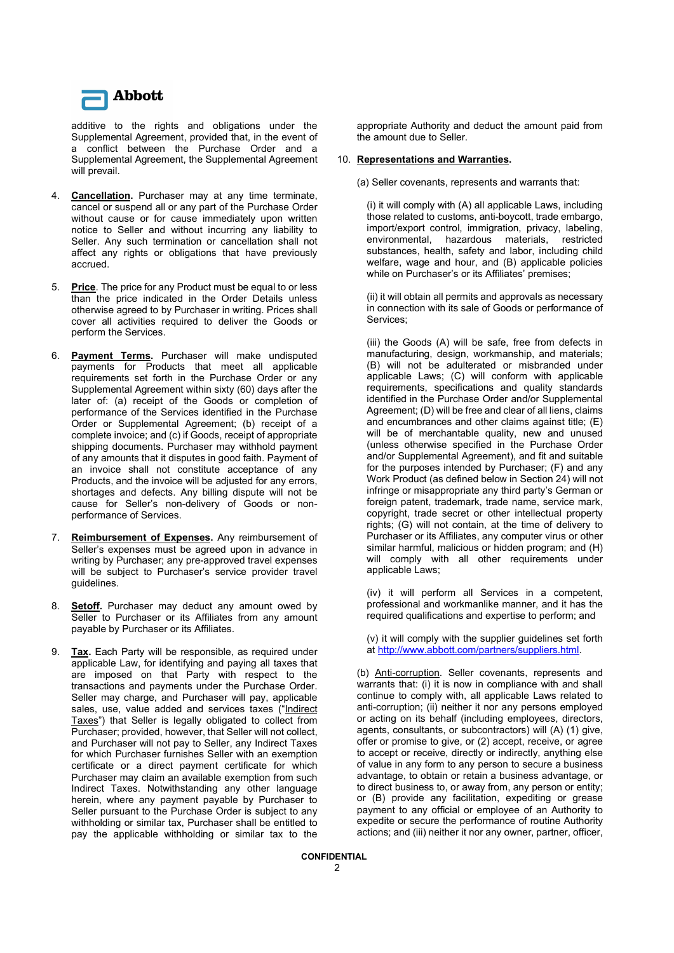

additive to the rights and obligations under the Supplemental Agreement, provided that, in the event of a conflict between the Purchase Order and a Supplemental Agreement, the Supplemental Agreement will prevail.

- 4. **Cancellation.** Purchaser may at any time terminate, cancel or suspend all or any part of the Purchase Order without cause or for cause immediately upon written notice to Seller and without incurring any liability to Seller. Any such termination or cancellation shall not affect any rights or obligations that have previously accrued.
- 5. Price. The price for any Product must be equal to or less than the price indicated in the Order Details unless otherwise agreed to by Purchaser in writing. Prices shall cover all activities required to deliver the Goods or perform the Services.
- 6. Payment Terms. Purchaser will make undisputed payments for Products that meet all applicable requirements set forth in the Purchase Order or any Supplemental Agreement within sixty (60) days after the later of: (a) receipt of the Goods or completion of performance of the Services identified in the Purchase Order or Supplemental Agreement; (b) receipt of a complete invoice; and (c) if Goods, receipt of appropriate shipping documents. Purchaser may withhold payment of any amounts that it disputes in good faith. Payment of an invoice shall not constitute acceptance of any Products, and the invoice will be adjusted for any errors, shortages and defects. Any billing dispute will not be cause for Seller's non-delivery of Goods or nonperformance of Services.
- 7. Reimbursement of Expenses. Any reimbursement of Seller's expenses must be agreed upon in advance in writing by Purchaser; any pre-approved travel expenses will be subject to Purchaser's service provider travel guidelines.
- Setoff. Purchaser may deduct any amount owed by Seller to Purchaser or its Affiliates from any amount payable by Purchaser or its Affiliates.
- 9. **Tax.** Each Party will be responsible, as required under applicable Law, for identifying and paying all taxes that are imposed on that Party with respect to the transactions and payments under the Purchase Order. Seller may charge, and Purchaser will pay, applicable sales, use, value added and services taxes ("Indirect Taxes") that Seller is legally obligated to collect from Purchaser; provided, however, that Seller will not collect, and Purchaser will not pay to Seller, any Indirect Taxes for which Purchaser furnishes Seller with an exemption certificate or a direct payment certificate for which Purchaser may claim an available exemption from such Indirect Taxes. Notwithstanding any other language herein, where any payment payable by Purchaser to Seller pursuant to the Purchase Order is subject to any withholding or similar tax, Purchaser shall be entitled to pay the applicable withholding or similar tax to the

appropriate Authority and deduct the amount paid from the amount due to Seller.

## 10. Representations and Warranties.

(a) Seller covenants, represents and warrants that:

(i) it will comply with (A) all applicable Laws, including those related to customs, anti-boycott, trade embargo, import/export control, immigration, privacy, labeling, environmental, hazardous materials, restricted substances, health, safety and labor, including child welfare, wage and hour, and (B) applicable policies while on Purchaser's or its Affiliates' premises;

(ii) it will obtain all permits and approvals as necessary in connection with its sale of Goods or performance of Services;

(iii) the Goods (A) will be safe, free from defects in manufacturing, design, workmanship, and materials; (B) will not be adulterated or misbranded under applicable Laws; (C) will conform with applicable requirements, specifications and quality standards identified in the Purchase Order and/or Supplemental Agreement; (D) will be free and clear of all liens, claims and encumbrances and other claims against title; (E) will be of merchantable quality, new and unused (unless otherwise specified in the Purchase Order and/or Supplemental Agreement), and fit and suitable for the purposes intended by Purchaser; (F) and any Work Product (as defined below in Section 24) will not infringe or misappropriate any third party's German or foreign patent, trademark, trade name, service mark, copyright, trade secret or other intellectual property rights; (G) will not contain, at the time of delivery to Purchaser or its Affiliates, any computer virus or other similar harmful, malicious or hidden program; and (H) will comply with all other requirements under applicable Laws;

(iv) it will perform all Services in a competent, professional and workmanlike manner, and it has the required qualifications and expertise to perform; and

(v) it will comply with the supplier guidelines set forth at http://www.abbott.com/partners/suppliers.html.

(b) Anti-corruption. Seller covenants, represents and warrants that: (i) it is now in compliance with and shall continue to comply with, all applicable Laws related to anti-corruption; (ii) neither it nor any persons employed or acting on its behalf (including employees, directors, agents, consultants, or subcontractors) will (A) (1) give, offer or promise to give, or (2) accept, receive, or agree to accept or receive, directly or indirectly, anything else of value in any form to any person to secure a business advantage, to obtain or retain a business advantage, or to direct business to, or away from, any person or entity; or (B) provide any facilitation, expediting or grease payment to any official or employee of an Authority to expedite or secure the performance of routine Authority actions; and (iii) neither it nor any owner, partner, officer,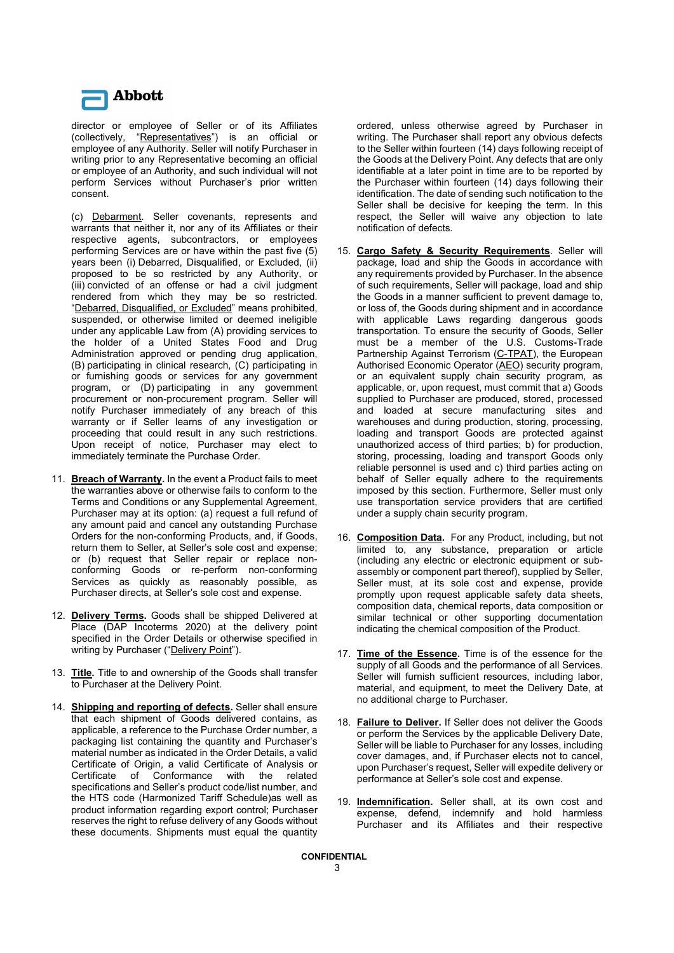

director or employee of Seller or of its Affiliates (collectively, "Representatives") is an official or employee of any Authority. Seller will notify Purchaser in writing prior to any Representative becoming an official or employee of an Authority, and such individual will not perform Services without Purchaser's prior written consent.

(c) Debarment. Seller covenants, represents and warrants that neither it, nor any of its Affiliates or their respective agents, subcontractors, or employees performing Services are or have within the past five (5) years been (i) Debarred, Disqualified, or Excluded, (ii) proposed to be so restricted by any Authority, or (iii) convicted of an offense or had a civil judgment rendered from which they may be so restricted. "Debarred, Disqualified, or Excluded" means prohibited, suspended, or otherwise limited or deemed ineligible under any applicable Law from (A) providing services to the holder of a United States Food and Drug Administration approved or pending drug application, (B) participating in clinical research, (C) participating in or furnishing goods or services for any government program, or (D) participating in any government procurement or non-procurement program. Seller will notify Purchaser immediately of any breach of this warranty or if Seller learns of any investigation or proceeding that could result in any such restrictions. Upon receipt of notice, Purchaser may elect to immediately terminate the Purchase Order.

- 11. Breach of Warranty. In the event a Product fails to meet the warranties above or otherwise fails to conform to the Terms and Conditions or any Supplemental Agreement, Purchaser may at its option: (a) request a full refund of any amount paid and cancel any outstanding Purchase Orders for the non-conforming Products, and, if Goods, return them to Seller, at Seller's sole cost and expense; or (b) request that Seller repair or replace nonconforming Goods or re-perform non-conforming Services as quickly as reasonably possible, as Purchaser directs, at Seller's sole cost and expense.
- 12. Delivery Terms. Goods shall be shipped Delivered at Place (DAP Incoterms 2020) at the delivery point specified in the Order Details or otherwise specified in writing by Purchaser ("Delivery Point").
- 13. Title. Title to and ownership of the Goods shall transfer to Purchaser at the Delivery Point.
- 14. Shipping and reporting of defects. Seller shall ensure that each shipment of Goods delivered contains, as applicable, a reference to the Purchase Order number, a packaging list containing the quantity and Purchaser's material number as indicated in the Order Details, a valid Certificate of Origin, a valid Certificate of Analysis or Certificate of Conformance with the related specifications and Seller's product code/list number, and the HTS code (Harmonized Tariff Schedule)as well as product information regarding export control; Purchaser reserves the right to refuse delivery of any Goods without these documents. Shipments must equal the quantity

ordered, unless otherwise agreed by Purchaser in writing. The Purchaser shall report any obvious defects to the Seller within fourteen (14) days following receipt of the Goods at the Delivery Point. Any defects that are only identifiable at a later point in time are to be reported by the Purchaser within fourteen (14) days following their identification. The date of sending such notification to the Seller shall be decisive for keeping the term. In this respect, the Seller will waive any objection to late notification of defects.

- 15. Cargo Safety & Security Requirements. Seller will package, load and ship the Goods in accordance with any requirements provided by Purchaser. In the absence of such requirements, Seller will package, load and ship the Goods in a manner sufficient to prevent damage to, or loss of, the Goods during shipment and in accordance with applicable Laws regarding dangerous goods transportation. To ensure the security of Goods, Seller must be a member of the U.S. Customs-Trade Partnership Against Terrorism (C-TPAT), the European Authorised Economic Operator (AEO) security program, or an equivalent supply chain security program, as applicable, or, upon request, must commit that a) Goods supplied to Purchaser are produced, stored, processed and loaded at secure manufacturing sites and warehouses and during production, storing, processing, loading and transport Goods are protected against unauthorized access of third parties; b) for production, storing, processing, loading and transport Goods only reliable personnel is used and c) third parties acting on behalf of Seller equally adhere to the requirements imposed by this section. Furthermore, Seller must only use transportation service providers that are certified under a supply chain security program.
- 16. **Composition Data.** For any Product, including, but not limited to, any substance, preparation or article (including any electric or electronic equipment or subassembly or component part thereof), supplied by Seller, Seller must, at its sole cost and expense, provide promptly upon request applicable safety data sheets, composition data, chemical reports, data composition or similar technical or other supporting documentation indicating the chemical composition of the Product.
- 17. Time of the Essence. Time is of the essence for the supply of all Goods and the performance of all Services. Seller will furnish sufficient resources, including labor, material, and equipment, to meet the Delivery Date, at no additional charge to Purchaser.
- 18. Failure to Deliver. If Seller does not deliver the Goods or perform the Services by the applicable Delivery Date, Seller will be liable to Purchaser for any losses, including cover damages, and, if Purchaser elects not to cancel, upon Purchaser's request, Seller will expedite delivery or performance at Seller's sole cost and expense.
- 19. Indemnification. Seller shall, at its own cost and expense, defend, indemnify and hold harmless Purchaser and its Affiliates and their respective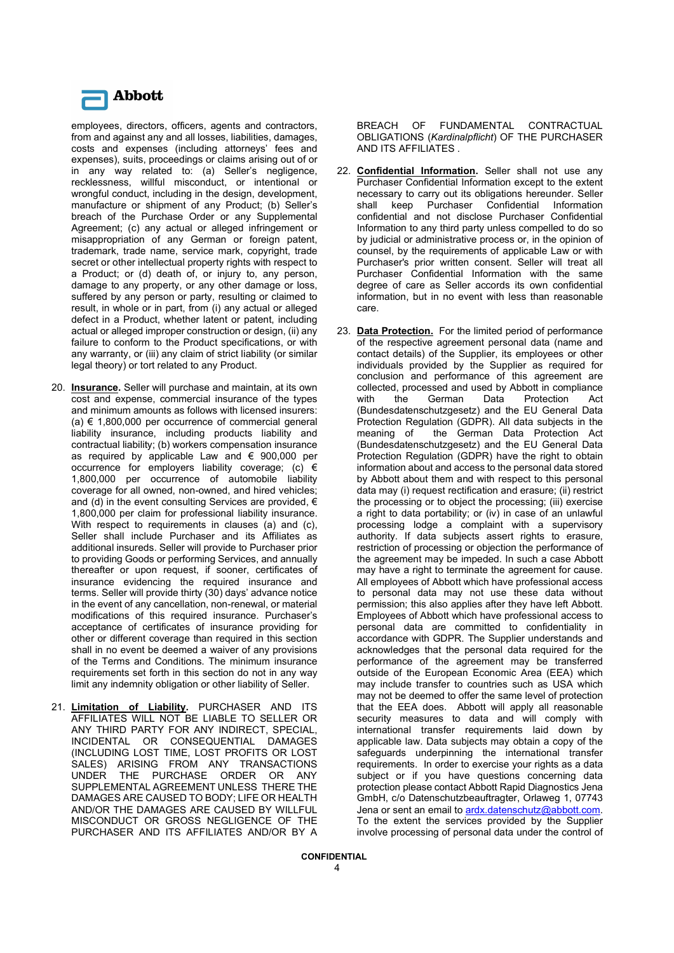

employees, directors, officers, agents and contractors, from and against any and all losses, liabilities, damages, costs and expenses (including attorneys' fees and expenses), suits, proceedings or claims arising out of or in any way related to: (a) Seller's negligence, recklessness, willful misconduct, or intentional or wrongful conduct, including in the design, development, manufacture or shipment of any Product; (b) Seller's breach of the Purchase Order or any Supplemental Agreement; (c) any actual or alleged infringement or misappropriation of any German or foreign patent, trademark, trade name, service mark, copyright, trade secret or other intellectual property rights with respect to a Product; or (d) death of, or injury to, any person, damage to any property, or any other damage or loss, suffered by any person or party, resulting or claimed to result, in whole or in part, from (i) any actual or alleged defect in a Product, whether latent or patent, including actual or alleged improper construction or design, (ii) any failure to conform to the Product specifications, or with any warranty, or (iii) any claim of strict liability (or similar legal theory) or tort related to any Product.

- 20. Insurance. Seller will purchase and maintain, at its own cost and expense, commercial insurance of the types and minimum amounts as follows with licensed insurers: (a)  $€$  1,800,000 per occurrence of commercial general liability insurance, including products liability and contractual liability; (b) workers compensation insurance as required by applicable Law and € 900,000 per occurrence for employers liability coverage; (c)  $\epsilon$ 1,800,000 per occurrence of automobile liability coverage for all owned, non-owned, and hired vehicles; and (d) in the event consulting Services are provided,  $\epsilon$ 1,800,000 per claim for professional liability insurance. With respect to requirements in clauses (a) and (c). Seller shall include Purchaser and its Affiliates as additional insureds. Seller will provide to Purchaser prior to providing Goods or performing Services, and annually thereafter or upon request, if sooner, certificates of insurance evidencing the required insurance and terms. Seller will provide thirty (30) days' advance notice in the event of any cancellation, non-renewal, or material modifications of this required insurance. Purchaser's acceptance of certificates of insurance providing for other or different coverage than required in this section shall in no event be deemed a waiver of any provisions of the Terms and Conditions. The minimum insurance requirements set forth in this section do not in any way limit any indemnity obligation or other liability of Seller.
- 21. Limitation of Liability. PURCHASER AND ITS AFFILIATES WILL NOT BE LIABLE TO SELLER OR ANY THIRD PARTY FOR ANY INDIRECT, SPECIAL, INCIDENTAL OR CONSEQUENTIAL DAMAGES (INCLUDING LOST TIME, LOST PROFITS OR LOST SALES) ARISING FROM ANY TRANSACTIONS UNDER THE PURCHASE ORDER OR ANY SUPPLEMENTAL AGREEMENT UNLESS THERE THE DAMAGES ARE CAUSED TO BODY; LIFE OR HEALTH AND/OR THE DAMAGES ARE CAUSED BY WILLFUL MISCONDUCT OR GROSS NEGLIGENCE OF THE PURCHASER AND ITS AFFILIATES AND/OR BY A

BREACH OF FUNDAMENTAL CONTRACTUAL OBLIGATIONS (Kardinalpflicht) OF THE PURCHASER AND ITS AFFILIATES .

- 22. Confidential Information. Seller shall not use any Purchaser Confidential Information except to the extent necessary to carry out its obligations hereunder. Seller shall keep Purchaser Confidential Information confidential and not disclose Purchaser Confidential Information to any third party unless compelled to do so by judicial or administrative process or, in the opinion of counsel, by the requirements of applicable Law or with Purchaser's prior written consent. Seller will treat all Purchaser Confidential Information with the same degree of care as Seller accords its own confidential information, but in no event with less than reasonable care.
- 23. Data Protection. For the limited period of performance of the respective agreement personal data (name and contact details) of the Supplier, its employees or other individuals provided by the Supplier as required for conclusion and performance of this agreement are collected, processed and used by Abbott in compliance with the German Data Protection Act (Bundesdatenschutzgesetz) and the EU General Data Protection Regulation (GDPR). All data subjects in the meaning of the German Data Protection Act (Bundesdatenschutzgesetz) and the EU General Data Protection Regulation (GDPR) have the right to obtain information about and access to the personal data stored by Abbott about them and with respect to this personal data may (i) request rectification and erasure; (ii) restrict the processing or to object the processing; (iii) exercise a right to data portability; or (iv) in case of an unlawful processing lodge a complaint with a supervisory authority. If data subjects assert rights to erasure, restriction of processing or objection the performance of the agreement may be impeded. In such a case Abbott may have a right to terminate the agreement for cause. All employees of Abbott which have professional access to personal data may not use these data without permission; this also applies after they have left Abbott. Employees of Abbott which have professional access to personal data are committed to confidentiality in accordance with GDPR. The Supplier understands and acknowledges that the personal data required for the performance of the agreement may be transferred outside of the European Economic Area (EEA) which may include transfer to countries such as USA which may not be deemed to offer the same level of protection that the EEA does. Abbott will apply all reasonable security measures to data and will comply with international transfer requirements laid down by applicable law. Data subjects may obtain a copy of the safeguards underpinning the international transfer requirements. In order to exercise your rights as a data subject or if you have questions concerning data protection please contact Abbott Rapid Diagnostics Jena GmbH, c/o Datenschutzbeauftragter, Orlaweg 1, 07743 Jena or sent an email to ardx.datenschutz@abbott.com. To the extent the services provided by the Supplier involve processing of personal data under the control of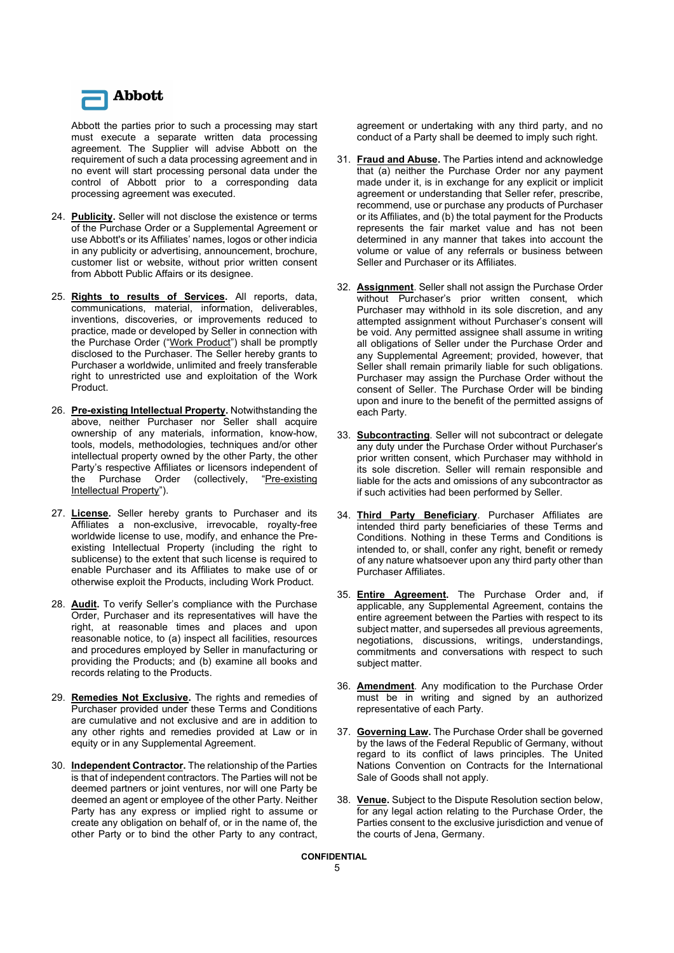

Abbott the parties prior to such a processing may start must execute a separate written data processing agreement. The Supplier will advise Abbott on the requirement of such a data processing agreement and in no event will start processing personal data under the control of Abbott prior to a corresponding data processing agreement was executed.

- 24. Publicity. Seller will not disclose the existence or terms of the Purchase Order or a Supplemental Agreement or use Abbott's or its Affiliates' names, logos or other indicia in any publicity or advertising, announcement, brochure, customer list or website, without prior written consent from Abbott Public Affairs or its designee.
- 25. Rights to results of Services. All reports, data, communications, material, information, deliverables, inventions, discoveries, or improvements reduced to practice, made or developed by Seller in connection with the Purchase Order ("Work Product") shall be promptly disclosed to the Purchaser. The Seller hereby grants to Purchaser a worldwide, unlimited and freely transferable right to unrestricted use and exploitation of the Work Product.
- 26. Pre-existing Intellectual Property. Notwithstanding the above, neither Purchaser nor Seller shall acquire ownership of any materials, information, know-how, tools, models, methodologies, techniques and/or other intellectual property owned by the other Party, the other Party's respective Affiliates or licensors independent of the Purchase Order (collectively, "Pre-existing Intellectual Property").
- 27. License. Seller hereby grants to Purchaser and its Affiliates a non-exclusive, irrevocable, royalty-free worldwide license to use, modify, and enhance the Preexisting Intellectual Property (including the right to sublicense) to the extent that such license is required to enable Purchaser and its Affiliates to make use of or otherwise exploit the Products, including Work Product.
- 28. Audit. To verify Seller's compliance with the Purchase Order, Purchaser and its representatives will have the right, at reasonable times and places and upon reasonable notice, to (a) inspect all facilities, resources and procedures employed by Seller in manufacturing or providing the Products; and (b) examine all books and records relating to the Products.
- 29. Remedies Not Exclusive. The rights and remedies of Purchaser provided under these Terms and Conditions are cumulative and not exclusive and are in addition to any other rights and remedies provided at Law or in equity or in any Supplemental Agreement.
- 30. Independent Contractor. The relationship of the Parties is that of independent contractors. The Parties will not be deemed partners or joint ventures, nor will one Party be deemed an agent or employee of the other Party. Neither Party has any express or implied right to assume or create any obligation on behalf of, or in the name of, the other Party or to bind the other Party to any contract,

agreement or undertaking with any third party, and no conduct of a Party shall be deemed to imply such right.

- 31. Fraud and Abuse. The Parties intend and acknowledge that (a) neither the Purchase Order nor any payment made under it, is in exchange for any explicit or implicit agreement or understanding that Seller refer, prescribe, recommend, use or purchase any products of Purchaser or its Affiliates, and (b) the total payment for the Products represents the fair market value and has not been determined in any manner that takes into account the volume or value of any referrals or business between Seller and Purchaser or its Affiliates.
- 32. **Assignment**. Seller shall not assign the Purchase Order without Purchaser's prior written consent, which Purchaser may withhold in its sole discretion, and any attempted assignment without Purchaser's consent will be void. Any permitted assignee shall assume in writing all obligations of Seller under the Purchase Order and any Supplemental Agreement; provided, however, that Seller shall remain primarily liable for such obligations. Purchaser may assign the Purchase Order without the consent of Seller. The Purchase Order will be binding upon and inure to the benefit of the permitted assigns of each Party.
- 33. Subcontracting. Seller will not subcontract or delegate any duty under the Purchase Order without Purchaser's prior written consent, which Purchaser may withhold in its sole discretion. Seller will remain responsible and liable for the acts and omissions of any subcontractor as if such activities had been performed by Seller.
- 34. Third Party Beneficiary. Purchaser Affiliates are intended third party beneficiaries of these Terms and Conditions. Nothing in these Terms and Conditions is intended to, or shall, confer any right, benefit or remedy of any nature whatsoever upon any third party other than Purchaser Affiliates.
- 35. **Entire Agreement**. The Purchase Order and, if applicable, any Supplemental Agreement, contains the entire agreement between the Parties with respect to its subject matter, and supersedes all previous agreements, negotiations, discussions, writings, understandings, commitments and conversations with respect to such subject matter.
- 36. **Amendment**. Any modification to the Purchase Order must be in writing and signed by an authorized representative of each Party.
- 37. **Governing Law**. The Purchase Order shall be governed by the laws of the Federal Republic of Germany, without regard to its conflict of laws principles. The United Nations Convention on Contracts for the International Sale of Goods shall not apply.
- 38. Venue. Subject to the Dispute Resolution section below, for any legal action relating to the Purchase Order, the Parties consent to the exclusive jurisdiction and venue of the courts of Jena, Germany.